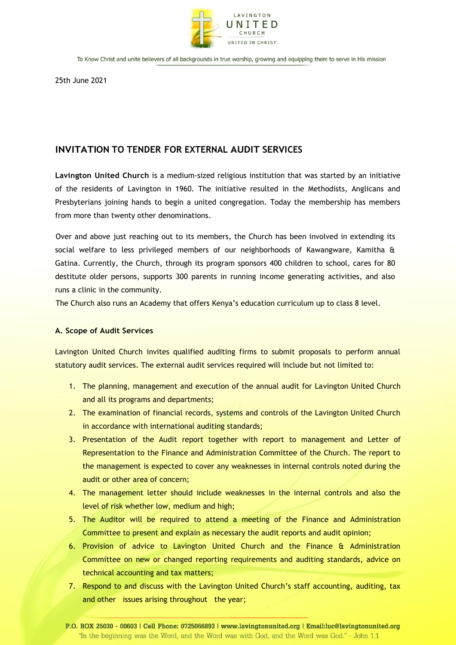

25th June 2021

# **INVITATION TO TENDER FOR EXTERNAL AUDIT SERVICES**

**Lavington United Church** is a medium-sized religious institution that was started by an initiative of the residents of Lavington in 1960. The initiative resulted in the Methodists, Anglicans and Presbyterians joining hands to begin a united congregation. Today the membership has members from more than twenty other denominations.

Over and above just reaching out to its members, the Church has been involved in extending its social welfare to less privileged members of our neighborhoods of Kawangware, Kamitha & Gatina. Currently, the Church, through its program sponsors 400 children to school, cares for 80 destitute older persons, supports 300 parents in running income generating activities, and also runs a clinic in the community.

The Church also runs an Academy that offers Kenya's education curriculum up to class 8 level.

# **A. Scope of Audit Services**

Lavington United Church invites qualified auditing firms to submit proposals to perform annual statutory audit services. The external audit services required will include but not limited to:

- 1. The planning, management and execution of the annual audit for Lavington United Church and all its programs and departments;
- 2. The examination of financial records, systems and controls of the Lavington United Church in accordance with international auditing standards;
- 3. Presentation of the Audit report together with report to management and Letter of Representation to the Finance and Administration Committee of the Church. The report to the management is expected to cover any weaknesses in internal controls noted during the audit or other area of concern;
- 4. The management letter should include weaknesses in the internal controls and also the level of risk whether low, medium and high;
- 5. The Auditor will be required to attend a meeting of the Finance and Administration Committee to present and explain as necessary the audit reports and audit opinion;
- 6. Provision of advice to Lavington United Church and the Finance & Administration Committee on new or changed reporting requirements and auditing standards, advice on technical accounting and tax matters;
- 7. Respond to and discuss with the Lavington United Church's staff accounting, auditing, tax and other issues arising throughout the year;

P.O. BOX 25030 - 00603 | Cell Phone: 0725066893 | www.lavingtonunited.org | Email:luc@lavingtonunited.org "In the beginning was the Word, and the Word was with God, and the Word was God." - John 1:1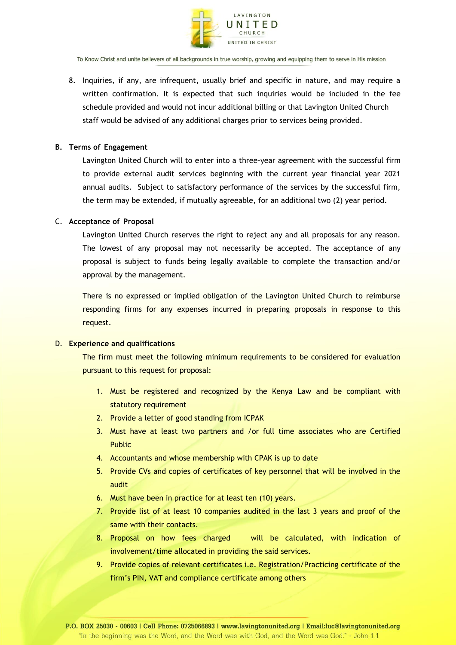

8. Inquiries, if any, are infrequent, usually brief and specific in nature, and may require a written confirmation. It is expected that such inquiries would be included in the fee schedule provided and would not incur additional billing or that Lavington United Church staff would be advised of any additional charges prior to services being provided.

## **B. Terms of Engagement**

Lavington United Church will to enter into a three-year agreement with the successful firm to provide external audit services beginning with the current year financial year 2021 annual audits. Subject to satisfactory performance of the services by the successful firm, the term may be extended, if mutually agreeable, for an additional two (2) year period.

## C. **Acceptance of Proposal**

Lavington United Church reserves the right to reject any and all proposals for any reason. The lowest of any proposal may not necessarily be accepted. The acceptance of any proposal is subject to funds being legally available to complete the transaction and/or approval by the management.

There is no expressed or implied obligation of the Lavington United Church to reimburse responding firms for any expenses incurred in preparing proposals in response to this request.

#### D. **Experience and qualifications**

The firm must meet the following minimum requirements to be considered for evaluation pursuant to this request for proposal:

- 1. Must be registered and recognized by the Kenya Law and be compliant with statutory requirement
- 2. Provide a letter of good standing from ICPAK
- 3. Must have at least two partners and /or full time associates who are Certified Public
- 4. Accountants and whose membership with CPAK is up to date
- 5. Provide CVs and copies of certificates of key personnel that will be involved in the audit
- 6. Must have been in practice for at least ten (10) years.
- 7. Provide list of at least 10 companies audited in the last 3 years and proof of the same with their contacts.
- 8. Proposal on how fees charged will be calculated, with indication of involvement/time allocated in providing the said services.
- 9. Provide copies of relevant certificates i.e. Registration/Practicing certificate of the firm's PIN, VAT and compliance certificate among others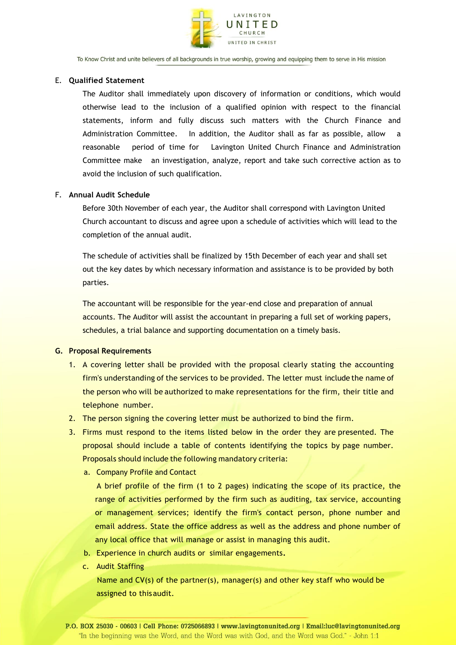

## E. **Qualified Statement**

The Auditor shall immediately upon discovery of information or conditions, which would otherwise lead to the inclusion of a qualified opinion with respect to the financial statements, inform and fully discuss such matters with the Church Finance and Administration Committee. In addition, the Auditor shall as far as possible, allow a reasonable period of time for Lavington United Church Finance and Administration Committee make an investigation, analyze, report and take such corrective action as to avoid the inclusion of such qualification.

## F. **Annual Audit Schedule**

Before 30th November of each year, the Auditor shall correspond with Lavington United Church accountant to discuss and agree upon a schedule of activities which will lead to the completion of the annual audit.

The schedule of activities shall be finalized by 15th December of each year and shall set out the key dates by which necessary information and assistance is to be provided by both parties.

The accountant will be responsible for the year-end close and preparation of annual accounts. The Auditor will assist the accountant in preparing a full set of working papers, schedules, a trial balance and supporting documentation on a timely basis.

## **G. Proposal Requirements**

- 1. A covering letter shall be provided with the proposal clearly stating the accounting firm's understanding of the services to be provided. The letter must include the name of the person who will be authorized to make representations for the firm, their title and telephone number.
- 2. The person signing the covering letter must be authorized to bind the firm.
- 3. Firms must respond to the items listed below in the order they are presented. The proposal should include a table of contents identifying the topics by page number. Proposals should include the following mandatory criteria:
	- a. Company Profile and Contact

 A brief profile of the firm (1 to 2 pages) indicating the scope of its practice, the range of activities performed by the firm such as auditing, tax service, accounting or management services; identify the firm's contact person, phone number and email address. State the office address as well as the address and phone number of any local office that will manage or assist in managing this audit.

- b. Experience in church audits or similar engagements**.**
- c. Audit Staffing

Name and CV(s) of the partner(s), manager(s) and other key staff who would be assigned to thisaudit.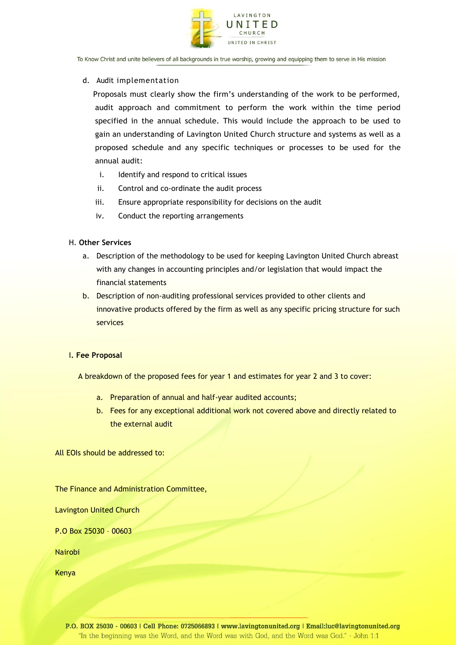

## d. Audit implementation

 Proposals must clearly show the firm's understanding of the work to be performed, audit approach and commitment to perform the work within the time period specified in the annual schedule. This would include the approach to be used to gain an understanding of Lavington United Church structure and systems as well as a proposed schedule and any specific techniques or processes to be used for the annual audit:

- i. Identify and respond to critical issues
- ii. Control and co-ordinate the audit process
- iii. Ensure appropriate responsibility for decisions on the audit
- iv. Conduct the reporting arrangements

## H. **Other Services**

- a. Description of the methodology to be used for keeping Lavington United Church abreast with any changes in accounting principles and/or legislation that would impact the financial statements
- b. Description of non-auditing professional services provided to other clients and innovative products offered by the firm as well as any specific pricing structure for such services

# I**. Fee Proposal**

A breakdown of the proposed fees for year 1 and estimates for year 2 and 3 to cover:

- a. Preparation of annual and half-year audited accounts;
- b. Fees for any exceptional additional work not covered above and directly related to the external audit

All EOIs should be addressed to:

The Finance and Administration Committee,

Lavington United Church

P.O Box 25030 – 00603

Nairobi

Kenya